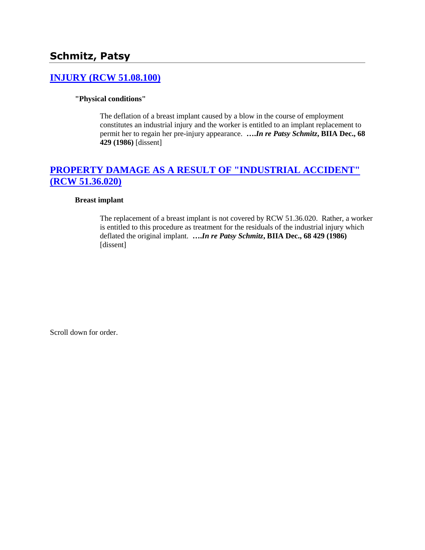# **Schmitz, Patsy**

### **[INJURY \(RCW 51.08.100\)](http://www.biia.wa.gov/SDSubjectIndex.html#INJURY)**

#### **"Physical conditions"**

The deflation of a breast implant caused by a blow in the course of employment constitutes an industrial injury and the worker is entitled to an implant replacement to permit her to regain her pre-injury appearance. **….***In re Patsy Schmitz***, BIIA Dec., 68 429 (1986)** [dissent]

# **[PROPERTY DAMAGE AS A RESULT OF "INDUSTRIAL ACCIDENT"](http://www.biia.wa.gov/SDSubjectIndex.html#PROPERTY_DAMAGE_AS_A_RESULT_OF_INDUSTRIAL_ACCIDENT)  [\(RCW 51.36.020\)](http://www.biia.wa.gov/SDSubjectIndex.html#PROPERTY_DAMAGE_AS_A_RESULT_OF_INDUSTRIAL_ACCIDENT)**

#### **Breast implant**

The replacement of a breast implant is not covered by RCW 51.36.020. Rather, a worker is entitled to this procedure as treatment for the residuals of the industrial injury which deflated the original implant. **….***In re Patsy Schmitz***, BIIA Dec., 68 429 (1986)** [dissent]

Scroll down for order.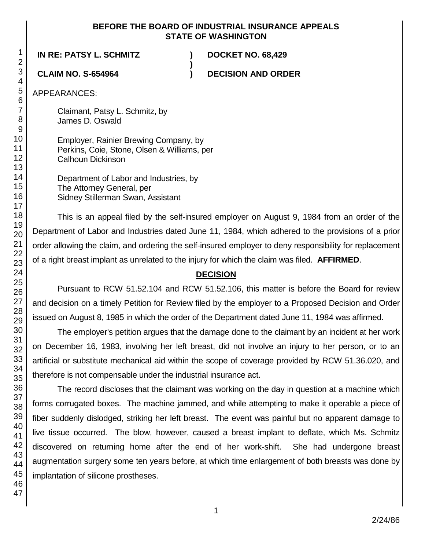#### **BEFORE THE BOARD OF INDUSTRIAL INSURANCE APPEALS STATE OF WASHINGTON**

**)**

**IN RE: PATSY L. SCHMITZ ) DOCKET NO. 68,429**

**CLAIM NO. S-654964 ) DECISION AND ORDER**

APPEARANCES:

Claimant, Patsy L. Schmitz, by James D. Oswald

Employer, Rainier Brewing Company, by Perkins, Coie, Stone, Olsen & Williams, per Calhoun Dickinson

Department of Labor and Industries, by The Attorney General, per Sidney Stillerman Swan, Assistant

This is an appeal filed by the self-insured employer on August 9, 1984 from an order of the Department of Labor and Industries dated June 11, 1984, which adhered to the provisions of a prior order allowing the claim, and ordering the self-insured employer to deny responsibility for replacement of a right breast implant as unrelated to the injury for which the claim was filed. **AFFIRMED**.

## **DECISION**

Pursuant to RCW 51.52.104 and RCW 51.52.106, this matter is before the Board for review and decision on a timely Petition for Review filed by the employer to a Proposed Decision and Order issued on August 8, 1985 in which the order of the Department dated June 11, 1984 was affirmed.

The employer's petition argues that the damage done to the claimant by an incident at her work on December 16, 1983, involving her left breast, did not involve an injury to her person, or to an artificial or substitute mechanical aid within the scope of coverage provided by RCW 51.36.020, and therefore is not compensable under the industrial insurance act.

The record discloses that the claimant was working on the day in question at a machine which forms corrugated boxes. The machine jammed, and while attempting to make it operable a piece of fiber suddenly dislodged, striking her left breast. The event was painful but no apparent damage to live tissue occurred. The blow, however, caused a breast implant to deflate, which Ms. Schmitz discovered on returning home after the end of her work-shift. She had undergone breast augmentation surgery some ten years before, at which time enlargement of both breasts was done by implantation of silicone prostheses.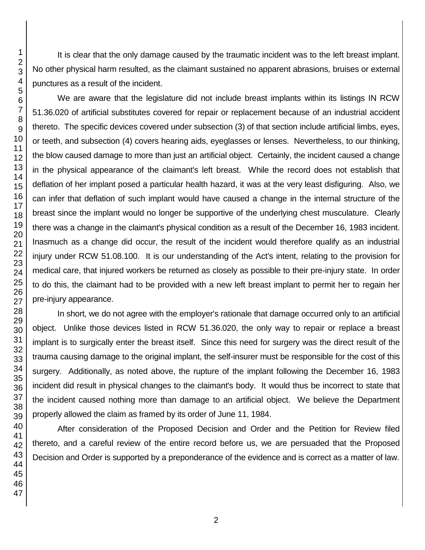It is clear that the only damage caused by the traumatic incident was to the left breast implant. No other physical harm resulted, as the claimant sustained no apparent abrasions, bruises or external punctures as a result of the incident.

We are aware that the legislature did not include breast implants within its listings IN RCW 51.36.020 of artificial substitutes covered for repair or replacement because of an industrial accident thereto. The specific devices covered under subsection (3) of that section include artificial limbs, eyes, or teeth, and subsection (4) covers hearing aids, eyeglasses or lenses. Nevertheless, to our thinking, the blow caused damage to more than just an artificial object. Certainly, the incident caused a change in the physical appearance of the claimant's left breast. While the record does not establish that deflation of her implant posed a particular health hazard, it was at the very least disfiguring. Also, we can infer that deflation of such implant would have caused a change in the internal structure of the breast since the implant would no longer be supportive of the underlying chest musculature. Clearly there was a change in the claimant's physical condition as a result of the December 16, 1983 incident. Inasmuch as a change did occur, the result of the incident would therefore qualify as an industrial injury under RCW 51.08.100. It is our understanding of the Act's intent, relating to the provision for medical care, that injured workers be returned as closely as possible to their pre-injury state. In order to do this, the claimant had to be provided with a new left breast implant to permit her to regain her pre-injury appearance.

In short, we do not agree with the employer's rationale that damage occurred only to an artificial object. Unlike those devices listed in RCW 51.36.020, the only way to repair or replace a breast implant is to surgically enter the breast itself. Since this need for surgery was the direct result of the trauma causing damage to the original implant, the self-insurer must be responsible for the cost of this surgery. Additionally, as noted above, the rupture of the implant following the December 16, 1983 incident did result in physical changes to the claimant's body. It would thus be incorrect to state that the incident caused nothing more than damage to an artificial object. We believe the Department properly allowed the claim as framed by its order of June 11, 1984.

After consideration of the Proposed Decision and Order and the Petition for Review filed thereto, and a careful review of the entire record before us, we are persuaded that the Proposed Decision and Order is supported by a preponderance of the evidence and is correct as a matter of law.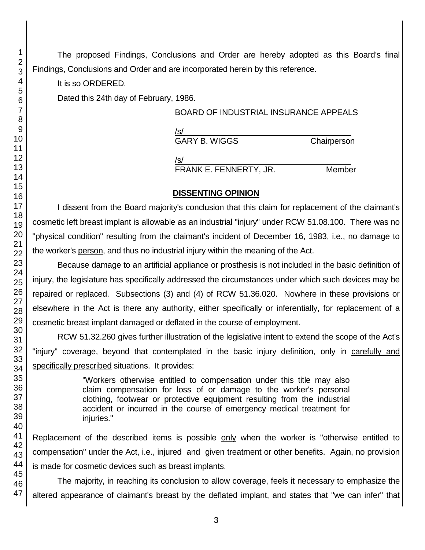The proposed Findings, Conclusions and Order are hereby adopted as this Board's final Findings, Conclusions and Order and are incorporated herein by this reference.

It is so ORDERED.

Dated this 24th day of February, 1986.

## BOARD OF INDUSTRIAL INSURANCE APPEALS

| /s/                  |             |
|----------------------|-------------|
| <b>GARY B. WIGGS</b> | Chairperson |
| /s/                  |             |

FRANK E. FENNERTY, JR. Member

## **DISSENTING OPINION**

I dissent from the Board majority's conclusion that this claim for replacement of the claimant's cosmetic left breast implant is allowable as an industrial "injury" under RCW 51.08.100. There was no "physical condition" resulting from the claimant's incident of December 16, 1983, i.e., no damage to the worker's person, and thus no industrial injury within the meaning of the Act.

Because damage to an artificial appliance or prosthesis is not included in the basic definition of injury, the legislature has specifically addressed the circumstances under which such devices may be repaired or replaced. Subsections (3) and (4) of RCW 51.36.020. Nowhere in these provisions or elsewhere in the Act is there any authority, either specifically or inferentially, for replacement of a cosmetic breast implant damaged or deflated in the course of employment.

RCW 51.32.260 gives further illustration of the legislative intent to extend the scope of the Act's "injury" coverage, beyond that contemplated in the basic injury definition, only in carefully and specifically prescribed situations. It provides:

> "Workers otherwise entitled to compensation under this title may also claim compensation for loss of or damage to the worker's personal clothing, footwear or protective equipment resulting from the industrial accident or incurred in the course of emergency medical treatment for iniuries."

Replacement of the described items is possible only when the worker is "otherwise entitled to compensation" under the Act, i.e., injured and given treatment or other benefits. Again, no provision is made for cosmetic devices such as breast implants.

The majority, in reaching its conclusion to allow coverage, feels it necessary to emphasize the altered appearance of claimant's breast by the deflated implant, and states that "we can infer" that